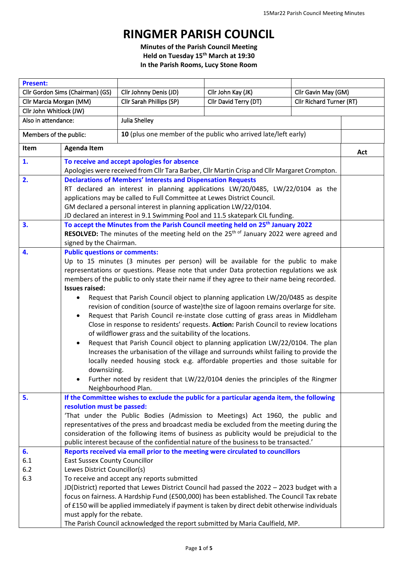## **RINGMER PARISH COUNCIL**

**Minutes of the Parish Council Meeting Held on Tuesday 15 th March at 19:30 In the Parish Rooms, Lucy Stone Room**

| <b>Present:</b>                  |                                                                                                                                                                             |                                                                     |                                                                                                                                                                                                  |                          |     |  |
|----------------------------------|-----------------------------------------------------------------------------------------------------------------------------------------------------------------------------|---------------------------------------------------------------------|--------------------------------------------------------------------------------------------------------------------------------------------------------------------------------------------------|--------------------------|-----|--|
| Cllr Gordon Sims (Chairman) (GS) |                                                                                                                                                                             | Cllr Johnny Denis (JD)                                              | Cllr John Kay (JK)                                                                                                                                                                               | Cllr Gavin May (GM)      |     |  |
| Cllr Marcia Morgan (MM)          |                                                                                                                                                                             | Cllr Sarah Phillips (SP)                                            | Cllr David Terry (DT)                                                                                                                                                                            | Cllr Richard Turner (RT) |     |  |
| Cllr John Whitlock (JW)          |                                                                                                                                                                             |                                                                     |                                                                                                                                                                                                  |                          |     |  |
| Also in attendance:              |                                                                                                                                                                             | Julia Shelley                                                       |                                                                                                                                                                                                  |                          |     |  |
| Members of the public:           |                                                                                                                                                                             | 10 (plus one member of the public who arrived late/left early)      |                                                                                                                                                                                                  |                          |     |  |
| Item                             | <b>Agenda Item</b>                                                                                                                                                          |                                                                     |                                                                                                                                                                                                  |                          | Act |  |
| 1.                               |                                                                                                                                                                             | To receive and accept apologies for absence                         |                                                                                                                                                                                                  |                          |     |  |
|                                  |                                                                                                                                                                             |                                                                     | Apologies were received from Cllr Tara Barber, Cllr Martin Crisp and Cllr Margaret Crompton.                                                                                                     |                          |     |  |
| 2.                               |                                                                                                                                                                             | <b>Declarations of Members' Interests and Dispensation Requests</b> |                                                                                                                                                                                                  |                          |     |  |
|                                  | RT declared an interest in planning applications LW/20/0485, LW/22/0104 as the<br>applications may be called to Full Committee at Lewes District Council.                   |                                                                     |                                                                                                                                                                                                  |                          |     |  |
|                                  |                                                                                                                                                                             |                                                                     |                                                                                                                                                                                                  |                          |     |  |
|                                  | GM declared a personal interest in planning application LW/22/0104.<br>JD declared an interest in 9.1 Swimming Pool and 11.5 skatepark CIL funding.                         |                                                                     |                                                                                                                                                                                                  |                          |     |  |
|                                  |                                                                                                                                                                             |                                                                     |                                                                                                                                                                                                  |                          |     |  |
| 3.                               |                                                                                                                                                                             |                                                                     | To accept the Minutes from the Parish Council meeting held on 25 <sup>th</sup> January 2022<br>RESOLVED: The minutes of the meeting held on the 25 <sup>th of</sup> January 2022 were agreed and |                          |     |  |
|                                  | signed by the Chairman.                                                                                                                                                     |                                                                     |                                                                                                                                                                                                  |                          |     |  |
| 4.                               |                                                                                                                                                                             |                                                                     |                                                                                                                                                                                                  |                          |     |  |
|                                  | <b>Public questions or comments:</b>                                                                                                                                        |                                                                     |                                                                                                                                                                                                  |                          |     |  |
|                                  | Up to 15 minutes (3 minutes per person) will be available for the public to make<br>representations or questions. Please note that under Data protection regulations we ask |                                                                     |                                                                                                                                                                                                  |                          |     |  |
|                                  |                                                                                                                                                                             |                                                                     | members of the public to only state their name if they agree to their name being recorded.                                                                                                       |                          |     |  |
|                                  | <b>Issues raised:</b>                                                                                                                                                       |                                                                     |                                                                                                                                                                                                  |                          |     |  |
|                                  |                                                                                                                                                                             |                                                                     |                                                                                                                                                                                                  |                          |     |  |
|                                  | Request that Parish Council object to planning application LW/20/0485 as despite                                                                                            |                                                                     |                                                                                                                                                                                                  |                          |     |  |
|                                  | revision of condition (source of waste)the size of lagoon remains overlarge for site.                                                                                       |                                                                     |                                                                                                                                                                                                  |                          |     |  |
|                                  | Request that Parish Council re-instate close cutting of grass areas in Middleham                                                                                            |                                                                     |                                                                                                                                                                                                  |                          |     |  |
|                                  | Close in response to residents' requests. Action: Parish Council to review locations<br>of wildflower grass and the suitability of the locations.                           |                                                                     |                                                                                                                                                                                                  |                          |     |  |
|                                  | ٠                                                                                                                                                                           |                                                                     | Request that Parish Council object to planning application LW/22/0104. The plan                                                                                                                  |                          |     |  |
|                                  |                                                                                                                                                                             |                                                                     | Increases the urbanisation of the village and surrounds whilst failing to provide the                                                                                                            |                          |     |  |
|                                  |                                                                                                                                                                             |                                                                     | locally needed housing stock e.g. affordable properties and those suitable for                                                                                                                   |                          |     |  |
|                                  | downsizing.                                                                                                                                                                 |                                                                     |                                                                                                                                                                                                  |                          |     |  |
|                                  |                                                                                                                                                                             |                                                                     | Further noted by resident that LW/22/0104 denies the principles of the Ringmer                                                                                                                   |                          |     |  |
|                                  |                                                                                                                                                                             | Neighbourhood Plan.                                                 |                                                                                                                                                                                                  |                          |     |  |
| 5.                               |                                                                                                                                                                             |                                                                     | If the Committee wishes to exclude the public for a particular agenda item, the following                                                                                                        |                          |     |  |
|                                  | resolution must be passed:                                                                                                                                                  |                                                                     |                                                                                                                                                                                                  |                          |     |  |
|                                  |                                                                                                                                                                             |                                                                     | 'That under the Public Bodies (Admission to Meetings) Act 1960, the public and                                                                                                                   |                          |     |  |
|                                  |                                                                                                                                                                             |                                                                     | representatives of the press and broadcast media be excluded from the meeting during the                                                                                                         |                          |     |  |
|                                  |                                                                                                                                                                             |                                                                     | consideration of the following items of business as publicity would be prejudicial to the                                                                                                        |                          |     |  |
|                                  |                                                                                                                                                                             |                                                                     | public interest because of the confidential nature of the business to be transacted.'                                                                                                            |                          |     |  |
| 6.                               |                                                                                                                                                                             |                                                                     | Reports received via email prior to the meeting were circulated to councillors                                                                                                                   |                          |     |  |
| 6.1                              | <b>East Sussex County Councillor</b>                                                                                                                                        |                                                                     |                                                                                                                                                                                                  |                          |     |  |
| 6.2                              | Lewes District Councillor(s)                                                                                                                                                |                                                                     |                                                                                                                                                                                                  |                          |     |  |
| 6.3                              |                                                                                                                                                                             | To receive and accept any reports submitted                         |                                                                                                                                                                                                  |                          |     |  |
|                                  |                                                                                                                                                                             |                                                                     | JD(District) reported that Lewes District Council had passed the 2022 - 2023 budget with a                                                                                                       |                          |     |  |
|                                  |                                                                                                                                                                             |                                                                     | focus on fairness. A Hardship Fund (£500,000) has been established. The Council Tax rebate                                                                                                       |                          |     |  |
|                                  |                                                                                                                                                                             |                                                                     | of £150 will be applied immediately if payment is taken by direct debit otherwise individuals                                                                                                    |                          |     |  |
|                                  | must apply for the rebate.                                                                                                                                                  |                                                                     |                                                                                                                                                                                                  |                          |     |  |
|                                  |                                                                                                                                                                             |                                                                     | The Parish Council acknowledged the report submitted by Maria Caulfield, MP.                                                                                                                     |                          |     |  |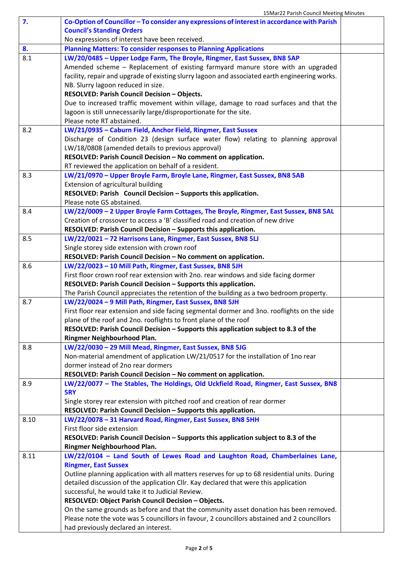| 7.   | Co-Option of Councillor - To consider any expressions of interest in accordance with Parish                                                                     |  |
|------|-----------------------------------------------------------------------------------------------------------------------------------------------------------------|--|
|      | <b>Council's Standing Orders</b>                                                                                                                                |  |
|      | No expressions of interest have been received.                                                                                                                  |  |
| 8.   | <b>Planning Matters: To consider responses to Planning Applications</b>                                                                                         |  |
| 8.1  | LW/20/0485 - Upper Lodge Farm, The Broyle, Ringmer, East Sussex, BN8 5AP                                                                                        |  |
|      | Amended scheme - Replacement of existing farmyard manure store with an upgraded                                                                                 |  |
|      | facility, repair and upgrade of existing slurry lagoon and associated earth engineering works.                                                                  |  |
|      | NB. Slurry lagoon reduced in size.                                                                                                                              |  |
|      | RESOLVED: Parish Council Decision - Objects.                                                                                                                    |  |
|      | Due to increased traffic movement within village, damage to road surfaces and that the                                                                          |  |
|      | lagoon is still unnecessarily large/disproportionate for the site.                                                                                              |  |
|      | Please note RT abstained.                                                                                                                                       |  |
| 8.2  | LW/21/0935 - Caburn Field, Anchor Field, Ringmer, East Sussex                                                                                                   |  |
|      | Discharge of Condition 23 (design surface water flow) relating to planning approval                                                                             |  |
|      | LW/18/0808 (amended details to previous approval)                                                                                                               |  |
|      | RESOLVED: Parish Council Decision - No comment on application.                                                                                                  |  |
|      | RT reviewed the application on behalf of a resident.                                                                                                            |  |
| 8.3  | LW/21/0970 - Upper Broyle Farm, Broyle Lane, Ringmer, East Sussex, BN8 5AB                                                                                      |  |
|      | Extension of agricultural building                                                                                                                              |  |
|      | RESOLVED: Parish Council Decision - Supports this application.                                                                                                  |  |
|      | Please note GS abstained.                                                                                                                                       |  |
| 8.4  | LW/22/0009 - 2 Upper Broyle Farm Cottages, The Broyle, Ringmer, East Sussex, BN8 5AL                                                                            |  |
|      | Creation of crossover to access a 'B' classified road and creation of new drive                                                                                 |  |
|      | RESOLVED: Parish Council Decision - Supports this application.                                                                                                  |  |
| 8.5  | LW/22/0021 - 72 Harrisons Lane, Ringmer, East Sussex, BN8 5LJ                                                                                                   |  |
|      | Single storey side extension with crown roof                                                                                                                    |  |
|      | RESOLVED: Parish Council Decision - No comment on application.                                                                                                  |  |
| 8.6  | LW/22/0023 - 10 Mill Path, Ringmer, East Sussex, BN8 5JH                                                                                                        |  |
|      | First floor crown roof rear extension with 2no. rear windows and side facing dormer                                                                             |  |
|      | RESOLVED: Parish Council Decision - Supports this application.                                                                                                  |  |
|      | The Parish Council appreciates the retention of the building as a two bedroom property.                                                                         |  |
| 8.7  | LW/22/0024 - 9 Mill Path, Ringmer, East Sussex, BN8 5JH                                                                                                         |  |
|      | First floor rear extension and side facing segmental dormer and 3no. rooflights on the side<br>plane of the roof and 2no. rooflights to front plane of the roof |  |
|      | RESOLVED: Parish Council Decision - Supports this application subject to 8.3 of the                                                                             |  |
|      | Ringmer Neighbourhood Plan.                                                                                                                                     |  |
| 8.8  | LW/22/0030 - 29 Mill Mead, Ringmer, East Sussex, BN8 5JG                                                                                                        |  |
|      | Non-material amendment of application LW/21/0517 for the installation of 1no rear                                                                               |  |
|      | dormer instead of 2no rear dormers                                                                                                                              |  |
|      | RESOLVED: Parish Council Decision - No comment on application.                                                                                                  |  |
| 8.9  | LW/22/0077 - The Stables, The Holdings, Old Uckfield Road, Ringmer, East Sussex, BN8                                                                            |  |
|      | 5RY                                                                                                                                                             |  |
|      | Single storey rear extension with pitched roof and creation of rear dormer                                                                                      |  |
|      | RESOLVED: Parish Council Decision - Supports this application.                                                                                                  |  |
| 8.10 | LW/22/0078 - 31 Harvard Road, Ringmer, East Sussex, BN8 5HH                                                                                                     |  |
|      | First floor side extension                                                                                                                                      |  |
|      | RESOLVED: Parish Council Decision - Supports this application subject to 8.3 of the                                                                             |  |
|      | Ringmer Neighbourhood Plan.                                                                                                                                     |  |
| 8.11 | LW/22/0104 - Land South of Lewes Road and Laughton Road, Chamberlaines Lane,                                                                                    |  |
|      | <b>Ringmer, East Sussex</b>                                                                                                                                     |  |
|      | Outline planning application with all matters reserves for up to 68 residential units. During                                                                   |  |
|      | detailed discussion of the application Cllr. Kay declared that were this application                                                                            |  |
|      | successful, he would take it to Judicial Review.                                                                                                                |  |
|      | RESOLVED: Object Parish Council Decision - Objects.                                                                                                             |  |
|      | On the same grounds as before and that the community asset donation has been removed.                                                                           |  |
|      | Please note the vote was 5 councillors in favour, 2 councillors abstained and 2 councillors                                                                     |  |
|      | had previously declared an interest.                                                                                                                            |  |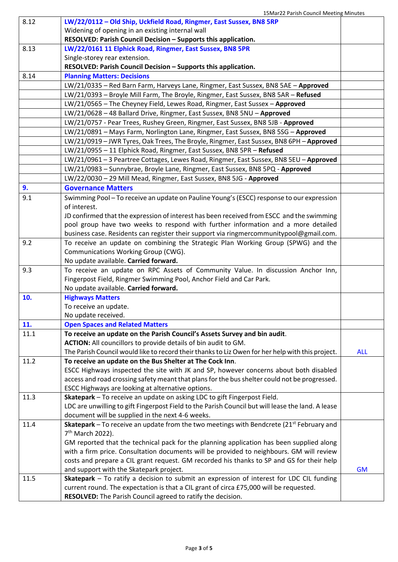|      | 15Mar22 Parish Council Meeting Minutes                                                                      |            |
|------|-------------------------------------------------------------------------------------------------------------|------------|
| 8.12 | LW/22/0112 - Old Ship, Uckfield Road, Ringmer, East Sussex, BN8 5RP                                         |            |
|      | Widening of opening in an existing internal wall                                                            |            |
|      | RESOLVED: Parish Council Decision - Supports this application.                                              |            |
| 8.13 | LW/22/0161 11 Elphick Road, Ringmer, East Sussex, BN8 5PR                                                   |            |
|      | Single-storey rear extension.                                                                               |            |
|      | RESOLVED: Parish Council Decision - Supports this application.                                              |            |
| 8.14 | <b>Planning Matters: Decisions</b>                                                                          |            |
|      | LW/21/0335 - Red Barn Farm, Harveys Lane, Ringmer, East Sussex, BN8 5AE - Approved                          |            |
|      | LW/21/0393 - Broyle Mill Farm, The Broyle, Ringmer, East Sussex, BN8 5AR - Refused                          |            |
|      | LW/21/0565 - The Cheyney Field, Lewes Road, Ringmer, East Sussex - Approved                                 |            |
|      | LW/21/0628 - 48 Ballard Drive, Ringmer, East Sussex, BN8 5NU - Approved                                     |            |
|      | LW/21/0757 - Pear Trees, Rushey Green, Ringmer, East Sussex, BN8 5JB - Approved                             |            |
|      | LW/21/0891 - Mays Farm, Norlington Lane, Ringmer, East Sussex, BN8 5SG - Approved                           |            |
|      | LW/21/0919 - JWR Tyres, Oak Trees, The Broyle, Ringmer, East Sussex, BN8 6PH - Approved                     |            |
|      | LW/21/0955 - 11 Elphick Road, Ringmer, East Sussex, BN8 5PR - Refused                                       |            |
|      | LW/21/0961-3 Peartree Cottages, Lewes Road, Ringmer, East Sussex, BN8 5EU-Approved                          |            |
|      | LW/21/0983 - Sunnybrae, Broyle Lane, Ringmer, East Sussex, BN8 5PQ - Approved                               |            |
|      | LW/22/0030 - 29 Mill Mead, Ringmer, East Sussex, BN8 5JG - Approved                                         |            |
| 9.   | <b>Governance Matters</b>                                                                                   |            |
| 9.1  | Swimming Pool - To receive an update on Pauline Young's (ESCC) response to our expression                   |            |
|      | of interest.                                                                                                |            |
|      | JD confirmed that the expression of interest has been received from ESCC and the swimming                   |            |
|      | pool group have two weeks to respond with further information and a more detailed                           |            |
|      | business case. Residents can register their support via ringmercommunitypool@gmail.com.                     |            |
| 9.2  | To receive an update on combining the Strategic Plan Working Group (SPWG) and the                           |            |
|      | Communications Working Group (CWG).                                                                         |            |
|      | No update available. Carried forward.                                                                       |            |
| 9.3  | To receive an update on RPC Assets of Community Value. In discussion Anchor Inn,                            |            |
|      | Fingerpost Field, Ringmer Swimming Pool, Anchor Field and Car Park.                                         |            |
|      | No update available. Carried forward.                                                                       |            |
| 10.  | <b>Highways Matters</b>                                                                                     |            |
|      | To receive an update.                                                                                       |            |
|      | No update received.                                                                                         |            |
| 11.  | <b>Open Spaces and Related Matters</b>                                                                      |            |
| 11.1 | To receive an update on the Parish Council's Assets Survey and bin audit.                                   |            |
|      | ACTION: All councillors to provide details of bin audit to GM.                                              |            |
|      | The Parish Council would like to record their thanks to Liz Owen for her help with this project.            | <b>ALL</b> |
| 11.2 | To receive an update on the Bus Shelter at The Cock Inn.                                                    |            |
|      | ESCC Highways inspected the site with JK and SP, however concerns about both disabled                       |            |
|      | access and road crossing safety meant that plans for the bus shelter could not be progressed.               |            |
|      | ESCC Highways are looking at alternative options.                                                           |            |
| 11.3 | Skatepark - To receive an update on asking LDC to gift Fingerpost Field.                                    |            |
|      | LDC are unwilling to gift Fingerpost Field to the Parish Council but will lease the land. A lease           |            |
|      | document will be supplied in the next 4-6 weeks.                                                            |            |
| 11.4 | <b>Skatepark</b> – To receive an update from the two meetings with Bendcrete (21 <sup>st</sup> February and |            |
|      | 7 <sup>th</sup> March 2022).                                                                                |            |
|      | GM reported that the technical pack for the planning application has been supplied along                    |            |
|      | with a firm price. Consultation documents will be provided to neighbours. GM will review                    |            |
|      | costs and prepare a CIL grant request. GM recorded his thanks to SP and GS for their help                   |            |
|      | and support with the Skatepark project.                                                                     | <b>GM</b>  |
| 11.5 | Skatepark - To ratify a decision to submit an expression of interest for LDC CIL funding                    |            |
|      | current round. The expectation is that a CIL grant of circa £75,000 will be requested.                      |            |
|      | RESOLVED: The Parish Council agreed to ratify the decision.                                                 |            |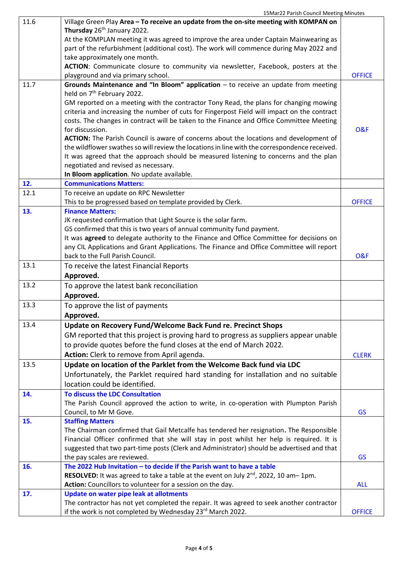| 11.6 | Village Green Play Area - To receive an update from the on-site meeting with KOMPAN on                                          |                |
|------|---------------------------------------------------------------------------------------------------------------------------------|----------------|
|      | Thursday 26 <sup>th</sup> January 2022.                                                                                         |                |
|      | At the KOMPLAN meeting it was agreed to improve the area under Captain Mainwearing as                                           |                |
|      | part of the refurbishment (additional cost). The work will commence during May 2022 and                                         |                |
|      | take approximately one month.                                                                                                   |                |
|      | ACTION: Communicate closure to community via newsletter, Facebook, posters at the<br>playground and via primary school.         | <b>OFFICE</b>  |
| 11.7 | Grounds Maintenance and "In Bloom" application - to receive an update from meeting                                              |                |
|      | held on 7 <sup>th</sup> February 2022.                                                                                          |                |
|      | GM reported on a meeting with the contractor Tony Read, the plans for changing mowing                                           |                |
|      | criteria and increasing the number of cuts for Fingerpost Field will impact on the contract                                     |                |
|      | costs. The changes in contract will be taken to the Finance and Office Committee Meeting                                        |                |
|      | for discussion.                                                                                                                 | <b>O&amp;F</b> |
|      | ACTION: The Parish Council is aware of concerns about the locations and development of                                          |                |
|      | the wildflower swathes so will review the locations in line with the correspondence received.                                   |                |
|      | It was agreed that the approach should be measured listening to concerns and the plan                                           |                |
|      | negotiated and revised as necessary.                                                                                            |                |
|      | In Bloom application. No update available.                                                                                      |                |
| 12.  | <b>Communications Matters:</b>                                                                                                  |                |
| 12.1 | To receive an update on RPC Newsletter                                                                                          |                |
|      | This to be progressed based on template provided by Clerk.                                                                      | <b>OFFICE</b>  |
| 13.  | <b>Finance Matters:</b>                                                                                                         |                |
|      | JK requested confirmation that Light Source is the solar farm.                                                                  |                |
|      | GS confirmed that this is two years of annual community fund payment.                                                           |                |
|      | It was agreed to delegate authority to the Finance and Office Committee for decisions on                                        |                |
|      | any CIL Applications and Grant Applications. The Finance and Office Committee will report<br>back to the Full Parish Council.   | <b>O&amp;F</b> |
| 13.1 | To receive the latest Financial Reports                                                                                         |                |
|      | Approved.                                                                                                                       |                |
| 13.2 |                                                                                                                                 |                |
|      | To approve the latest bank reconciliation<br>Approved.                                                                          |                |
| 13.3 | To approve the list of payments                                                                                                 |                |
|      | Approved.                                                                                                                       |                |
| 13.4 | Update on Recovery Fund/Welcome Back Fund re. Precinct Shops                                                                    |                |
|      | GM reported that this project is proving hard to progress as suppliers appear unable                                            |                |
|      | to provide quotes before the fund closes at the end of March 2022.                                                              |                |
|      | Action: Clerk to remove from April agenda.                                                                                      |                |
| 13.5 |                                                                                                                                 | <b>CLERK</b>   |
|      | Update on location of the Parklet from the Welcome Back fund via LDC                                                            |                |
|      | Unfortunately, the Parklet required hard standing for installation and no suitable                                              |                |
|      | location could be identified.                                                                                                   |                |
| 14.  | <b>To discuss the LDC Consultation</b><br>The Parish Council approved the action to write, in co-operation with Plumpton Parish |                |
|      | Council, to Mr M Gove.                                                                                                          | <b>GS</b>      |
| 15.  | <b>Staffing Matters</b>                                                                                                         |                |
|      | The Chairman confirmed that Gail Metcalfe has tendered her resignation. The Responsible                                         |                |
|      | Financial Officer confirmed that she will stay in post whilst her help is required. It is                                       |                |
|      | suggested that two part-time posts (Clerk and Administrator) should be advertised and that                                      |                |
|      | the pay scales are reviewed.                                                                                                    | <b>GS</b>      |
| 16.  | The 2022 Hub Invitation - to decide if the Parish want to have a table                                                          |                |
|      | RESOLVED: It was agreed to take a table at the event on July 2 <sup>nd</sup> , 2022, 10 am-1pm.                                 |                |
|      | Action: Councillors to volunteer for a session on the day.                                                                      | <b>ALL</b>     |
| 17.  | Update on water pipe leak at allotments                                                                                         |                |
|      | The contractor has not yet completed the repair. It was agreed to seek another contractor                                       |                |
|      | if the work is not completed by Wednesday 23rd March 2022.                                                                      | <b>OFFICE</b>  |